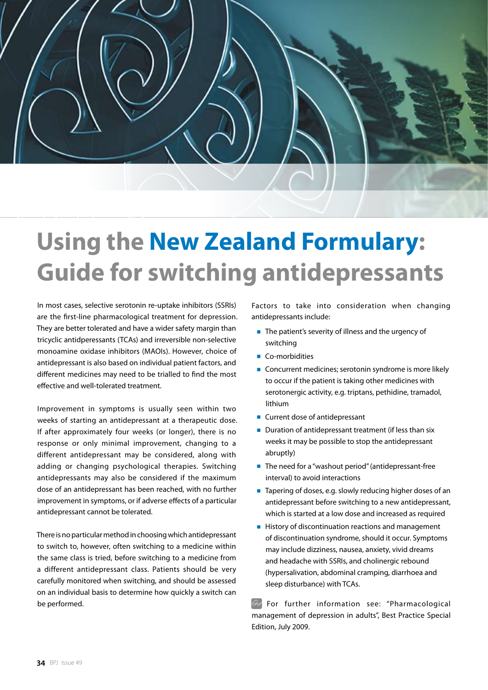## **Using the New Zealand Formulary: Guide for switching antidepressants**

In most cases, selective serotonin re-uptake inhibitors (SSRIs) are the first-line pharmacological treatment for depression. They are better tolerated and have a wider safety margin than tricyclic antidperessants (TCAs) and irreversible non-selective monoamine oxidase inhibitors (MAOIs). However, choice of antidepressant is also based on individual patient factors, and different medicines may need to be trialled to find the most effective and well-tolerated treatment.

Improvement in symptoms is usually seen within two weeks of starting an antidepressant at a therapeutic dose. If after approximately four weeks (or longer), there is no response or only minimal improvement, changing to a different antidepressant may be considered, along with adding or changing psychological therapies. Switching antidepressants may also be considered if the maximum dose of an antidepressant has been reached, with no further improvement in symptoms, or if adverse effects of a particular antidepressant cannot be tolerated.

There is no particular method in choosing which antidepressant to switch to, however, often switching to a medicine within the same class is tried, before switching to a medicine from a different antidepressant class. Patients should be very carefully monitored when switching, and should be assessed on an individual basis to determine how quickly a switch can be performed.

Factors to take into consideration when changing antidepressants include:

- **The patient's severity of illness and the urgency of** switching
- Co-morbidities
- **Concurrent medicines; serotonin syndrome is more likely** to occur if the patient is taking other medicines with serotonergic activity, e.g. triptans, pethidine, tramadol, lithium
- **Current dose of antidepressant**
- Duration of antidepressant treatment (if less than six weeks it may be possible to stop the antidepressant abruptly)
- The need for a "washout period" (antidepressant-free interval) to avoid interactions
- Tapering of doses, e.g. slowly reducing higher doses of an antidepressant before switching to a new antidepressant, which is started at a low dose and increased as required
- **History of discontinuation reactions and management** of discontinuation syndrome, should it occur. Symptoms may include dizziness, nausea, anxiety, vivid dreams and headache with SSRIs, and cholinergic rebound (hypersalivation, abdominal cramping, diarrhoea and sleep disturbance) with TCAs.

For further information see: "Pharmacological management of depression in adults", Best Practice Special Edition, July 2009.